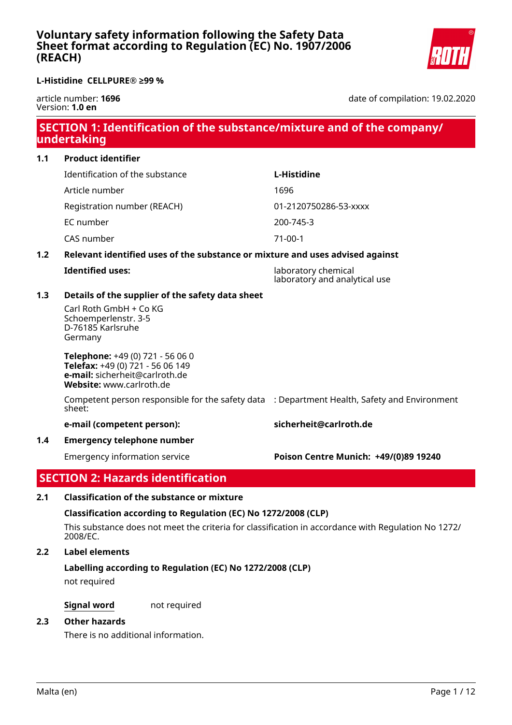

article number: **1696** Version: **1.0 en**

date of compilation: 19.02.2020

# **SECTION 1: Identification of the substance/mixture and of the company/ undertaking**

## **1.1 Product identifier**

Identification of the substance **L-Histidine** Article number 1696 Registration number (REACH) 01-2120750286-53-xxxx EC number 200-745-3

CAS number 71-00-1

## **1.2 Relevant identified uses of the substance or mixture and uses advised against**

**Identified uses:** laboratory chemical laboratory and analytical use

## **1.3 Details of the supplier of the safety data sheet**

Carl Roth GmbH + Co KG Schoemperlenstr. 3-5 D-76185 Karlsruhe Germany

**Telephone:** +49 (0) 721 - 56 06 0 **Telefax:** +49 (0) 721 - 56 06 149 **e-mail:** sicherheit@carlroth.de **Website:** www.carlroth.de

Competent person responsible for the safety data : Department Health, Safety and Environment sheet:

### **e-mail (competent person): sicherheit@carlroth.de**

## **1.4 Emergency telephone number**

# Emergency information service **Poison Centre Munich: +49/(0)89 19240**

# **SECTION 2: Hazards identification**

## **2.1 Classification of the substance or mixture**

## **Classification according to Regulation (EC) No 1272/2008 (CLP)**

This substance does not meet the criteria for classification in accordance with Regulation No 1272/ 2008/EC.

## **2.2 Label elements**

## **Labelling according to Regulation (EC) No 1272/2008 (CLP)**

not required

**Signal word** not required

## **2.3 Other hazards**

There is no additional information.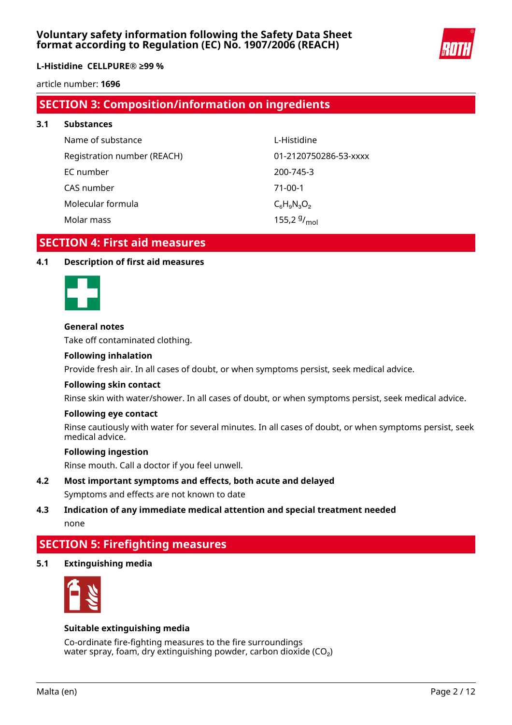

### **L-Histidine CELLPURE® ≥99 %**

article number: **1696**

## **SECTION 3: Composition/information on ingredients**

| 3.1 | <b>Substances</b>           |                       |  |  |
|-----|-----------------------------|-----------------------|--|--|
|     | Name of substance           | L-Histidine           |  |  |
|     | Registration number (REACH) | 01-2120750286-53-xxxx |  |  |
|     | EC number                   | 200-745-3             |  |  |
|     | CAS number                  | $71-00-1$             |  |  |
|     | Molecular formula           | $C_6H_9N_3O_2$        |  |  |
|     | Molar mass                  | 155,2 $9/_{mol}$      |  |  |

## **SECTION 4: First aid measures**

## **4.1 Description of first aid measures**



### **General notes**

Take off contaminated clothing.

### **Following inhalation**

Provide fresh air. In all cases of doubt, or when symptoms persist, seek medical advice.

### **Following skin contact**

Rinse skin with water/shower. In all cases of doubt, or when symptoms persist, seek medical advice.

#### **Following eye contact**

Rinse cautiously with water for several minutes. In all cases of doubt, or when symptoms persist, seek medical advice.

#### **Following ingestion**

Rinse mouth. Call a doctor if you feel unwell.

**4.2 Most important symptoms and effects, both acute and delayed** Symptoms and effects are not known to date

## **4.3 Indication of any immediate medical attention and special treatment needed** none

## **SECTION 5: Firefighting measures**

## **5.1 Extinguishing media**



#### **Suitable extinguishing media**

Co-ordinate fire-fighting measures to the fire surroundings water spray, foam, dry extinguishing powder, carbon dioxide (CO₂)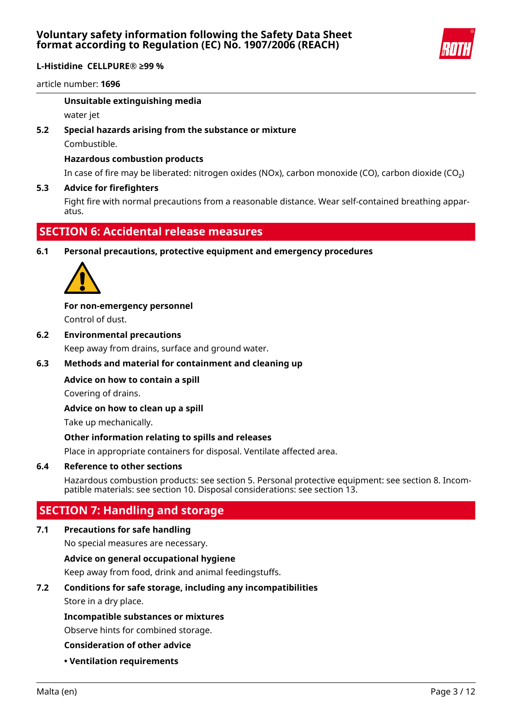

article number: **1696**

## **Unsuitable extinguishing media**

water jet

### **5.2 Special hazards arising from the substance or mixture**

Combustible.

## **Hazardous combustion products**

In case of fire may be liberated: nitrogen oxides (NOx), carbon monoxide (CO), carbon dioxide (CO₂)

### **5.3 Advice for firefighters**

Fight fire with normal precautions from a reasonable distance. Wear self-contained breathing apparatus.

## **SECTION 6: Accidental release measures**

## **6.1 Personal precautions, protective equipment and emergency procedures**



**For non-emergency personnel**

Control of dust.

## **6.2 Environmental precautions**

Keep away from drains, surface and ground water.

## **6.3 Methods and material for containment and cleaning up**

## **Advice on how to contain a spill**

Covering of drains.

### **Advice on how to clean up a spill**

Take up mechanically.

### **Other information relating to spills and releases**

Place in appropriate containers for disposal. Ventilate affected area.

### **6.4 Reference to other sections**

Hazardous combustion products: see section 5. Personal protective equipment: see section 8. Incompatible materials: see section 10. Disposal considerations: see section 13.

## **SECTION 7: Handling and storage**

### **7.1 Precautions for safe handling**

No special measures are necessary.

### **Advice on general occupational hygiene**

Keep away from food, drink and animal feedingstuffs.

## **7.2 Conditions for safe storage, including any incompatibilities**

Store in a dry place.

### **Incompatible substances or mixtures**

Observe hints for combined storage.

### **Consideration of other advice**

**• Ventilation requirements**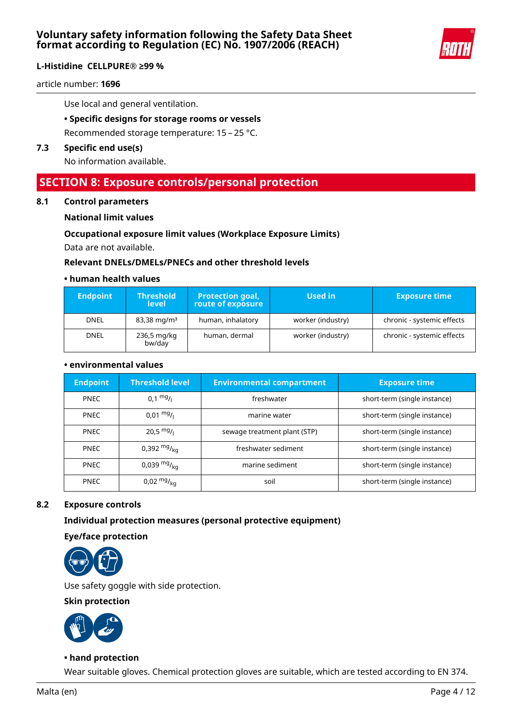

article number: **1696**

Use local and general ventilation.

**• Specific designs for storage rooms or vessels**

Recommended storage temperature: 15 – 25 °C.

## **7.3 Specific end use(s)**

No information available.

# **SECTION 8: Exposure controls/personal protection**

### **8.1 Control parameters**

### **National limit values**

### **Occupational exposure limit values (Workplace Exposure Limits)**

Data are not available.

### **Relevant DNELs/DMELs/PNECs and other threshold levels**

### **• human health values**

| <b>Endpoint</b>                                | <b>Threshold</b><br><b>level</b> | <b>Protection goal,</b><br>route of exposure | Used in                    | <b>Exposure time</b>       |
|------------------------------------------------|----------------------------------|----------------------------------------------|----------------------------|----------------------------|
| DNEL                                           | $83,38 \,\mathrm{mg/m^3}$        | human, inhalatory                            | worker (industry)          | chronic - systemic effects |
| human, dermal<br>236,5 mg/kg<br>DNEL<br>bw/day |                                  | worker (industry)                            | chronic - systemic effects |                            |

### **• environmental values**

| <b>Endpoint</b> | <b>Threshold level</b> | <b>Environmental compartment</b> | <b>Exposure time</b>         |
|-----------------|------------------------|----------------------------------|------------------------------|
| <b>PNEC</b>     | $0.1 \frac{mg}{l}$     | freshwater                       | short-term (single instance) |
| <b>PNEC</b>     | $0.01 \frac{mg}{L}$    | marine water                     | short-term (single instance) |
| <b>PNEC</b>     | $20,5 \frac{mg}{l}$    | sewage treatment plant (STP)     | short-term (single instance) |
| <b>PNEC</b>     | 0,392 $mg/_{ka}$       | freshwater sediment              | short-term (single instance) |
| <b>PNEC</b>     | 0,039 $mg/_{ka}$       | marine sediment                  | short-term (single instance) |
| <b>PNEC</b>     | $0.02 \frac{mg}{ka}$   | soil                             | short-term (single instance) |

### **8.2 Exposure controls**

### **Individual protection measures (personal protective equipment)**

**Eye/face protection**



Use safety goggle with side protection.

### **Skin protection**



#### **• hand protection**

Wear suitable gloves. Chemical protection gloves are suitable, which are tested according to EN 374.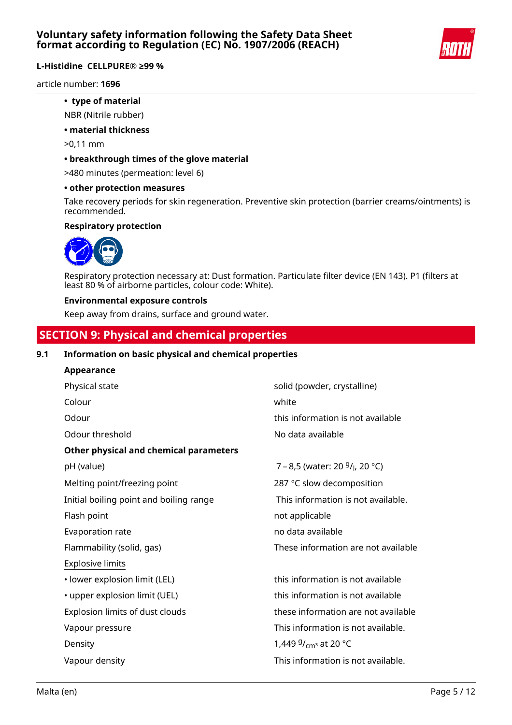

## **L-Histidine CELLPURE® ≥99 %**

article number: **1696**

- **type of material**
- NBR (Nitrile rubber)
- **material thickness**
- >0,11 mm
- **breakthrough times of the glove material**
- >480 minutes (permeation: level 6)
- **other protection measures**

Take recovery periods for skin regeneration. Preventive skin protection (barrier creams/ointments) is recommended.

## **Respiratory protection**



Respiratory protection necessary at: Dust formation. Particulate filter device (EN 143). P1 (filters at least 80 % of airborne particles, colour code: White).

## **Environmental exposure controls**

Keep away from drains, surface and ground water.

# **SECTION 9: Physical and chemical properties**

## **9.1 Information on basic physical and chemical properties**

| Appearance                              |                                                         |
|-----------------------------------------|---------------------------------------------------------|
| Physical state                          | solid (powder, crystalline)                             |
| Colour                                  | white                                                   |
| Odour                                   | this information is not available                       |
| Odour threshold                         | No data available                                       |
| Other physical and chemical parameters  |                                                         |
| pH (value)                              | 7 - 8,5 (water: 20 <sup>g</sup> / <sub>l</sub> , 20 °C) |
| Melting point/freezing point            | 287 °C slow decomposition                               |
| Initial boiling point and boiling range | This information is not available.                      |
| Flash point                             | not applicable                                          |
| Evaporation rate                        | no data available                                       |
| Flammability (solid, gas)               | These information are not available                     |
| <b>Explosive limits</b>                 |                                                         |
| · lower explosion limit (LEL)           | this information is not available                       |
| • upper explosion limit (UEL)           | this information is not available                       |
| Explosion limits of dust clouds         | these information are not available                     |
| Vapour pressure                         | This information is not available.                      |
| Density                                 | 1,449 $9/_{cm^3}$ at 20 °C                              |
| Vapour density                          | This information is not available.                      |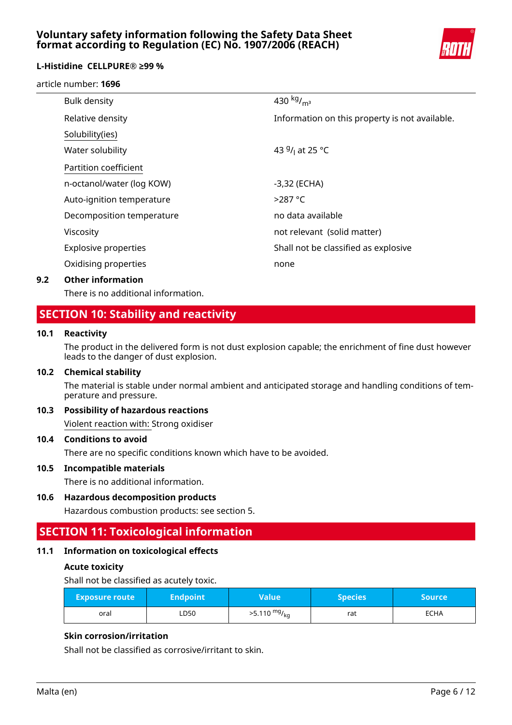

## **L-Histidine CELLPURE® ≥99 %**

### article number: **1696**

| <b>Bulk density</b>         | 430 $kg/m3$                                    |
|-----------------------------|------------------------------------------------|
| Relative density            | Information on this property is not available. |
| Solubility(ies)             |                                                |
| Water solubility            | 43 $9/1$ at 25 °C                              |
| Partition coefficient       |                                                |
| n-octanol/water (log KOW)   | -3,32 (ECHA)                                   |
| Auto-ignition temperature   | $>287$ °C                                      |
| Decomposition temperature   | no data available                              |
| Viscosity                   | not relevant (solid matter)                    |
| <b>Explosive properties</b> | Shall not be classified as explosive           |
| Oxidising properties        | none                                           |
|                             |                                                |

### **9.2 Other information**

There is no additional information.

## **SECTION 10: Stability and reactivity**

### **10.1 Reactivity**

The product in the delivered form is not dust explosion capable; the enrichment of fine dust however leads to the danger of dust explosion.

### **10.2 Chemical stability**

The material is stable under normal ambient and anticipated storage and handling conditions of temperature and pressure.

## **10.3 Possibility of hazardous reactions**

Violent reaction with: Strong oxidiser

## **10.4 Conditions to avoid**

There are no specific conditions known which have to be avoided.

### **10.5 Incompatible materials**

There is no additional information.

### **10.6 Hazardous decomposition products**

Hazardous combustion products: see section 5.

# **SECTION 11: Toxicological information**

### **11.1 Information on toxicological effects**

### **Acute toxicity**

Shall not be classified as acutely toxic.

| <b>Exposure route</b> | <b>Endpoint</b> | Value\                 | <b>Species</b> | <b>Source</b> |
|-----------------------|-----------------|------------------------|----------------|---------------|
| oral                  | ∟D50            | $>5.110 \frac{mg}{kg}$ | rat            | <b>ECHA</b>   |

## **Skin corrosion/irritation**

Shall not be classified as corrosive/irritant to skin.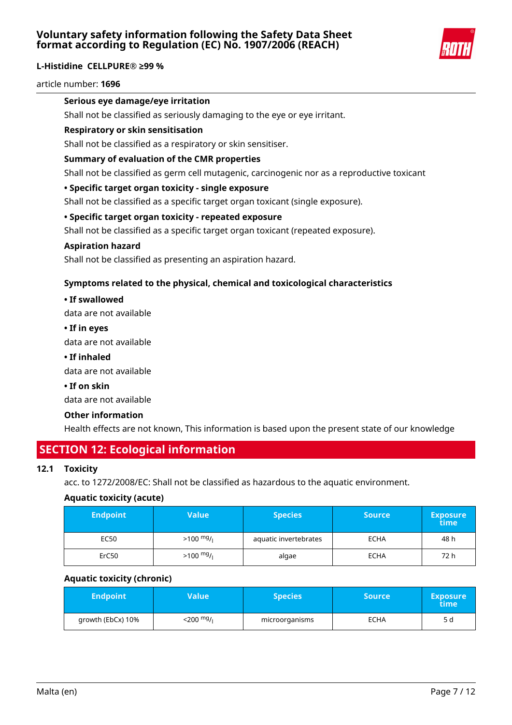

article number: **1696**

## **Serious eye damage/eye irritation**

Shall not be classified as seriously damaging to the eye or eye irritant.

### **Respiratory or skin sensitisation**

Shall not be classified as a respiratory or skin sensitiser.

## **Summary of evaluation of the CMR properties**

Shall not be classified as germ cell mutagenic, carcinogenic nor as a reproductive toxicant

## **• Specific target organ toxicity - single exposure**

Shall not be classified as a specific target organ toxicant (single exposure).

## **• Specific target organ toxicity - repeated exposure**

Shall not be classified as a specific target organ toxicant (repeated exposure).

### **Aspiration hazard**

Shall not be classified as presenting an aspiration hazard.

## **Symptoms related to the physical, chemical and toxicological characteristics**

### **• If swallowed**

data are not available

### **• If in eyes**

data are not available

**• If inhaled**

data are not available

### **• If on skin**

data are not available

### **Other information**

Health effects are not known, This information is based upon the present state of our knowledge

## **SECTION 12: Ecological information**

### **12.1 Toxicity**

acc. to 1272/2008/EC: Shall not be classified as hazardous to the aquatic environment.

### **Aquatic toxicity (acute)**

| <b>Endpoint</b> | Value               | <b>Species</b>        | <b>Source</b> | <b>Exposure</b><br>time |
|-----------------|---------------------|-----------------------|---------------|-------------------------|
| EC50            | $>100 \frac{mg}{l}$ | aquatic invertebrates | <b>ECHA</b>   | 48 h                    |
| ErC50           | $>100 \frac{mg}{l}$ | algae                 | <b>ECHA</b>   | 72 h                    |

### **Aquatic toxicity (chronic)**

| <b>Endpoint</b>   | Value'               | <b>Species</b> ' | <b>Source</b> | <b>Exposure</b><br>time |
|-------------------|----------------------|------------------|---------------|-------------------------|
| growth (EbCx) 10% | 200 <sup>mg</sup> /ı | microorganisms   | <b>ECHA</b>   | 5 d                     |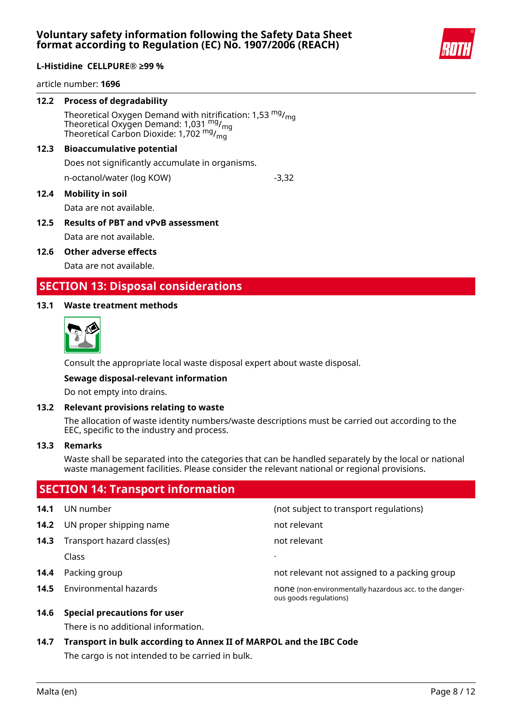

article number: **1696**

### **12.2 Process of degradability**

Theoretical Oxygen Demand with nitrification: 1,53  $mg/m<sub>g</sub>$ Theoretical Oxygen Demand: 1,031  $mg/mq$ Theoretical Carbon Dioxide:  $1,702$  mg/ $_{\text{ma}}$ 

### **12.3 Bioaccumulative potential**

Does not significantly accumulate in organisms.

n-octanol/water (log KOW)  $-3,32$ 

## **12.4 Mobility in soil**

Data are not available.

## **12.5 Results of PBT and vPvB assessment** Data are not available.

### **12.6 Other adverse effects**

Data are not available.

## **SECTION 13: Disposal considerations**

## **13.1 Waste treatment methods**



Consult the appropriate local waste disposal expert about waste disposal.

### **Sewage disposal-relevant information**

Do not empty into drains.

### **13.2 Relevant provisions relating to waste**

The allocation of waste identity numbers/waste descriptions must be carried out according to the EEC, specific to the industry and process.

#### **13.3 Remarks**

Waste shall be separated into the categories that can be handled separately by the local or national waste management facilities. Please consider the relevant national or regional provisions.

|      | <b>SECTION 14: Transport information</b> |                                                                                   |
|------|------------------------------------------|-----------------------------------------------------------------------------------|
| 14.1 | UN number                                | (not subject to transport regulations)                                            |
| 14.2 | UN proper shipping name                  | not relevant                                                                      |
| 14.3 | Transport hazard class(es)               | not relevant                                                                      |
|      | Class                                    |                                                                                   |
| 14.4 | Packing group                            | not relevant not assigned to a packing group                                      |
| 14.5 | Environmental hazards                    | none (non-environmentally hazardous acc. to the danger-<br>ous goods regulations) |
|      | AAC Considered provided for user         |                                                                                   |

## **14.6 Special precautions for user**

There is no additional information.

**14.7 Transport in bulk according to Annex II of MARPOL and the IBC Code** The cargo is not intended to be carried in bulk.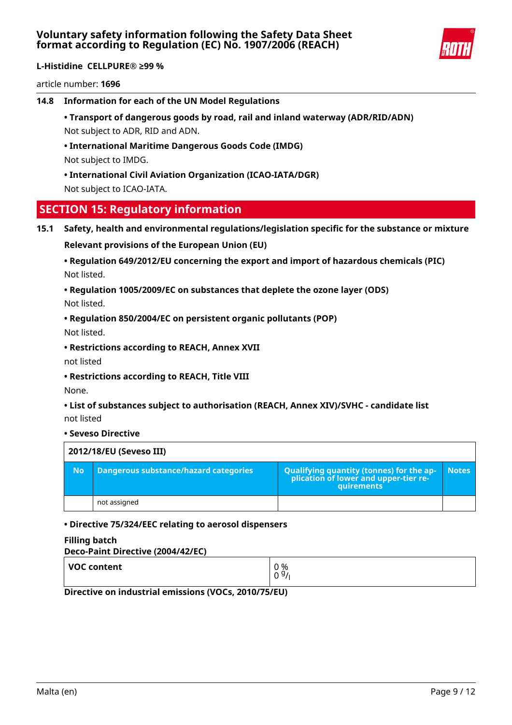

article number: **1696**

**14.8 Information for each of the UN Model Regulations**

**• Transport of dangerous goods by road, rail and inland waterway (ADR/RID/ADN)** Not subject to ADR, RID and ADN.

**• International Maritime Dangerous Goods Code (IMDG)** Not subject to IMDG.

**• International Civil Aviation Organization (ICAO-IATA/DGR)** Not subject to ICAO-IATA.

## **SECTION 15: Regulatory information**

**15.1 Safety, health and environmental regulations/legislation specific for the substance or mixture**

**Relevant provisions of the European Union (EU)**

**• Regulation 649/2012/EU concerning the export and import of hazardous chemicals (PIC)** Not listed.

## **• Regulation 1005/2009/EC on substances that deplete the ozone layer (ODS)** Not listed.

**• Regulation 850/2004/EC on persistent organic pollutants (POP)**

Not listed.

**• Restrictions according to REACH, Annex XVII**

not listed

**• Restrictions according to REACH, Title VIII**

None.

**• List of substances subject to authorisation (REACH, Annex XIV)/SVHC - candidate list** not listed

### **• Seveso Directive**

| 2012/18/EU (Seveso III) |                                              |                                                                                                   |              |  |
|-------------------------|----------------------------------------------|---------------------------------------------------------------------------------------------------|--------------|--|
| <b>No</b>               | <b>Dangerous substance/hazard categories</b> | Qualifying quantity (tonnes) for the application of lower and upper-tier re-<br><b>auirements</b> | <b>Notes</b> |  |
|                         | not assigned                                 |                                                                                                   |              |  |

### **• Directive 75/324/EEC relating to aerosol dispensers**

### **Filling batch**

| Deco-Paint Directive (2004/42/EC) |                       |  |  |
|-----------------------------------|-----------------------|--|--|
| VOC content                       | 0 %<br>0 <sup>9</sup> |  |  |

**Directive on industrial emissions (VOCs, 2010/75/EU)**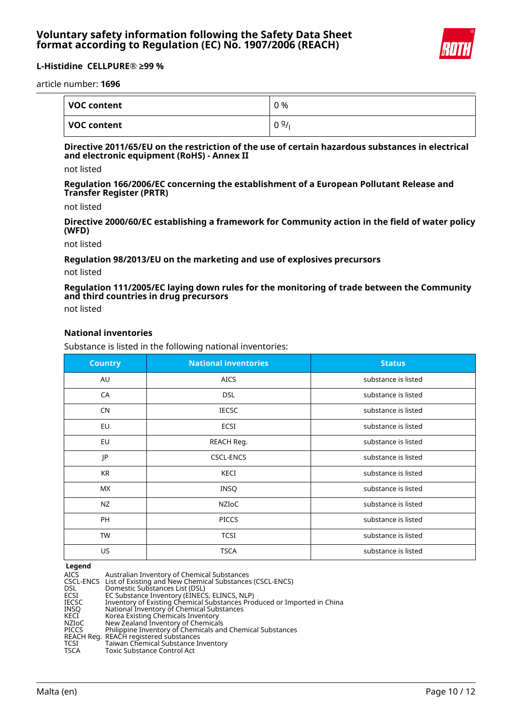

article number: **1696**

| VOC content | 0 % |
|-------------|-----|
| VOC content | 09/ |

### **Directive 2011/65/EU on the restriction of the use of certain hazardous substances in electrical and electronic equipment (RoHS) - Annex II**

not listed

**Regulation 166/2006/EC concerning the establishment of a European Pollutant Release and Transfer Register (PRTR)**

not listed

**Directive 2000/60/EC establishing a framework for Community action in the field of water policy (WFD)**

not listed

### **Regulation 98/2013/EU on the marketing and use of explosives precursors**

not listed

## **Regulation 111/2005/EC laying down rules for the monitoring of trade between the Community and third countries in drug precursors**

not listed

## **National inventories**

Substance is listed in the following national inventories:

| <b>Country</b> | <b>National inventories</b> | <b>Status</b>       |
|----------------|-----------------------------|---------------------|
| AU             | <b>AICS</b>                 | substance is listed |
| CA             | <b>DSL</b>                  | substance is listed |
| <b>CN</b>      | <b>IECSC</b>                | substance is listed |
| EU             | <b>ECSI</b>                 | substance is listed |
| EU             | REACH Reg.                  | substance is listed |
| JP             | <b>CSCL-ENCS</b>            | substance is listed |
| <b>KR</b>      | KECI                        | substance is listed |
| <b>MX</b>      | <b>INSQ</b>                 | substance is listed |
| <b>NZ</b>      | NZIoC                       | substance is listed |
| PH             | <b>PICCS</b>                | substance is listed |
| <b>TW</b>      | <b>TCSI</b>                 | substance is listed |
| US.            | <b>TSCA</b>                 | substance is listed |

**Legend**

| ------       |                                                                         |
|--------------|-------------------------------------------------------------------------|
| AICS.        | Australian Inventory of Chemical Substances                             |
|              | CSCL-ENCS List of Existing and New Chemical Substances (CSCL-ENCS)      |
| <b>DSL</b>   | Domestic Substances List (DSL)                                          |
| <b>ECSI</b>  | EC Substance Inventory (EINECS, ELINCS, NLP)                            |
| <b>IECSC</b> | Inventory of Existing Chemical Substances Produced or Imported in China |
| INSO         | National Inventory of Chemical Substances                               |
| KECI         | Korea Existing Chemicals Inventory                                      |
| NZIoC        | New Zealand Inventory of Chemicals                                      |
| <b>PICCS</b> | Philippine Inventory of Chemicals and Chemical Substances               |
|              | REACH Reg. REACH registered substances                                  |
| TCSI         | Taiwan Chemical Substance Inventory                                     |
| <b>TSCA</b>  | <b>Toxic Substance Control Act</b>                                      |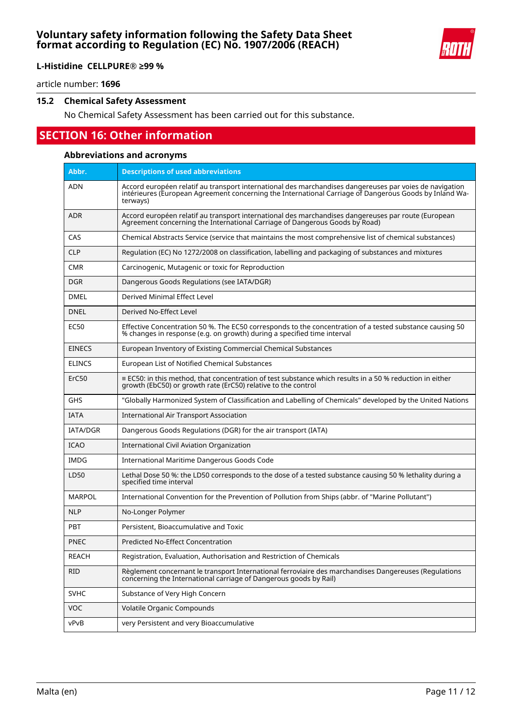

**L-Histidine CELLPURE® ≥99 %**

article number: **1696**

### **15.2 Chemical Safety Assessment**

No Chemical Safety Assessment has been carried out for this substance.

# **SECTION 16: Other information**

### **Abbreviations and acronyms**

| Abbr.             | <b>Descriptions of used abbreviations</b>                                                                                                                                                                                     |
|-------------------|-------------------------------------------------------------------------------------------------------------------------------------------------------------------------------------------------------------------------------|
| ADN               | Accord européen relatif au transport international des marchandises dangereuses par voies de navigation<br>intérieures (European Agreement concerning the International Carriage of Dangerous Goods by Inland Wa-<br>terways) |
| <b>ADR</b>        | Accord européen relatif au transport international des marchandises dangereuses par route (European<br>Agreement concerning the International Carriage of Dangerous Goods by Road)                                            |
| CAS               | Chemical Abstracts Service (service that maintains the most comprehensive list of chemical substances)                                                                                                                        |
| <b>CLP</b>        | Regulation (EC) No 1272/2008 on classification, labelling and packaging of substances and mixtures                                                                                                                            |
| <b>CMR</b>        | Carcinogenic, Mutagenic or toxic for Reproduction                                                                                                                                                                             |
| DGR               | Dangerous Goods Regulations (see IATA/DGR)                                                                                                                                                                                    |
| <b>DMEL</b>       | Derived Minimal Effect Level                                                                                                                                                                                                  |
| <b>DNEL</b>       | Derived No-Effect Level                                                                                                                                                                                                       |
| EC50              | Effective Concentration 50 %. The EC50 corresponds to the concentration of a tested substance causing 50<br>% changes in response (e.g. on growth) during a specified time interval                                           |
| <b>EINECS</b>     | European Inventory of Existing Commercial Chemical Substances                                                                                                                                                                 |
| <b>ELINCS</b>     | European List of Notified Chemical Substances                                                                                                                                                                                 |
| ErC <sub>50</sub> | $\equiv$ EC50: in this method, that concentration of test substance which results in a 50 % reduction in either<br>growth (EbC50) or growth rate (ErC50) relative to the control                                              |
| GHS               | "Globally Harmonized System of Classification and Labelling of Chemicals" developed by the United Nations                                                                                                                     |
| <b>IATA</b>       | <b>International Air Transport Association</b>                                                                                                                                                                                |
| <b>IATA/DGR</b>   | Dangerous Goods Regulations (DGR) for the air transport (IATA)                                                                                                                                                                |
| <b>ICAO</b>       | <b>International Civil Aviation Organization</b>                                                                                                                                                                              |
| IMDG              | International Maritime Dangerous Goods Code                                                                                                                                                                                   |
| LD50              | Lethal Dose 50 %: the LD50 corresponds to the dose of a tested substance causing 50 % lethality during a<br>specified time interval                                                                                           |
| <b>MARPOL</b>     | International Convention for the Prevention of Pollution from Ships (abbr. of "Marine Pollutant")                                                                                                                             |
| <b>NLP</b>        | No-Longer Polymer                                                                                                                                                                                                             |
| <b>PBT</b>        | Persistent, Bioaccumulative and Toxic                                                                                                                                                                                         |
| <b>PNEC</b>       | Predicted No-Effect Concentration                                                                                                                                                                                             |
| <b>REACH</b>      | Registration, Evaluation, Authorisation and Restriction of Chemicals                                                                                                                                                          |
| rid               | Règlement concernant le transport International ferroviaire des marchandises Dangereuses (Regulations<br>concerning the International carriage of Dangerous goods by Rail)                                                    |
| <b>SVHC</b>       | Substance of Very High Concern                                                                                                                                                                                                |
| <b>VOC</b>        | Volatile Organic Compounds                                                                                                                                                                                                    |
| vPvB              | very Persistent and very Bioaccumulative                                                                                                                                                                                      |